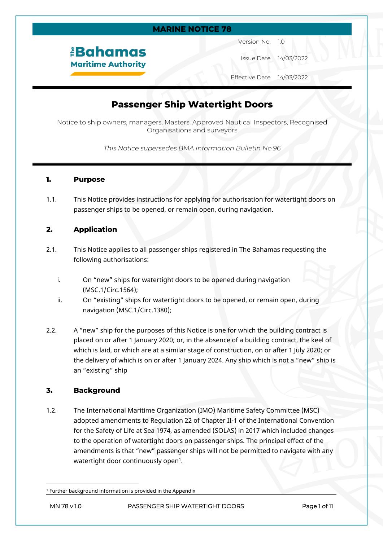### **MARINE NOTICE 78**

*<u><b>Bahamas</u>* **Maritime Authority**  Version No. 1.0

Issue Date 14/03/2022

Effective Date 14/03/2022

## **Passenger Ship Watertight Doors**

Notice to ship owners, managers, Masters, Approved Nautical Inspectors, Recognised Organisations and surveyors

*This Notice supersedes BMA Information Bulletin No.96*

### **1. Purpose**

1.1. This Notice provides instructions for applying for authorisation for watertight doors on passenger ships to be opened, or remain open, during navigation.

## **2. Application**

- 2.1. This Notice applies to all passenger ships registered in The Bahamas requesting the following authorisations:
	- i. On "new" ships for watertight doors to be opened during navigation (MSC.1/Circ.1564);
	- ii. On "existing" ships for watertight doors to be opened, or remain open, during navigation (MSC.1/Circ.1380);
- 2.2. A "new" ship for the purposes of this Notice is one for which the building contract is placed on or after 1 January 2020; or, in the absence of a building contract, the keel of which is laid, or which are at a similar stage of construction, on or after 1 July 2020; or the delivery of which is on or after 1 January 2024. Any ship which is not a "new" ship is an "existing" ship

## **3. Background**

1.2. The International Maritime Organization (IMO) Maritime Safety Committee (MSC) adopted amendments to Regulation 22 of Chapter II-1 of the International Convention for the Safety of Life at Sea 1974, as amended (SOLAS) in 2017 which included changes to the operation of watertight doors on passenger ships. The principal effect of the amendments is that "new" passenger ships will not be permitted to navigate with any watertight door continuously open $^{\rm 1}.$ 

<sup>1</sup> Further background information is provided in the Appendix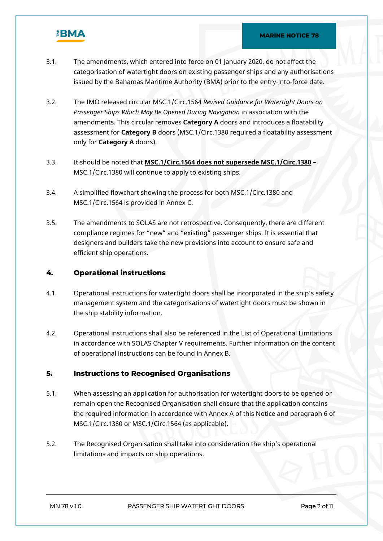

- 3.1. The amendments, which entered into force on 01 January 2020, do not affect the categorisation of watertight doors on existing passenger ships and any authorisations issued by the Bahamas Maritime Authority (BMA) prior to the entry-into-force date.
- 3.2. The IMO released circular MSC.1/Circ.1564 *Revised Guidance for Watertight Doors on Passenger Ships Which May Be Opened During Navigation* in association with the amendments. This circular removes **Category A** doors and introduces a floatability assessment for **Category B** doors (MSC.1/Circ.1380 required a floatability assessment only for **Category A** doors).
- 3.3. It should be noted that **MSC.1/Circ.1564 does not supersede MSC.1/Circ.1380** MSC.1/Circ.1380 will continue to apply to existing ships.
- 3.4. A simplified flowchart showing the process for both MSC.1/Circ.1380 and MSC.1/Circ.1564 is provided in Annex C.
- 3.5. The amendments to SOLAS are not retrospective. Consequently, there are different compliance regimes for "new" and "existing" passenger ships. It is essential that designers and builders take the new provisions into account to ensure safe and efficient ship operations.

## **4. Operational instructions**

- 4.1. Operational instructions for watertight doors shall be incorporated in the ship's safety management system and the categorisations of watertight doors must be shown in the ship stability information.
- 4.2. Operational instructions shall also be referenced in the List of Operational Limitations in accordance with SOLAS Chapter V requirements. Further information on the content of operational instructions can be found in Annex B.

## **5. Instructions to Recognised Organisations**

- 5.1. When assessing an application for authorisation for watertight doors to be opened or remain open the Recognised Organisation shall ensure that the application contains the required information in accordance with Annex A of this Notice and paragraph 6 of MSC.1/Circ.1380 or MSC.1/Circ.1564 (as applicable).
- 5.2. The Recognised Organisation shall take into consideration the ship's operational limitations and impacts on ship operations.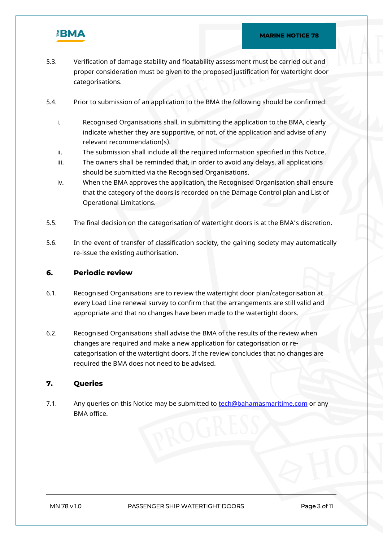

- 5.3. Verification of damage stability and floatability assessment must be carried out and proper consideration must be given to the proposed justification for watertight door categorisations.
- 5.4. Prior to submission of an application to the BMA the following should be confirmed:
	- i. Recognised Organisations shall, in submitting the application to the BMA, clearly indicate whether they are supportive, or not, of the application and advise of any relevant recommendation(s).
	- ii. The submission shall include all the required information specified in this Notice.
	- iii. The owners shall be reminded that, in order to avoid any delays, all applications should be submitted via the Recognised Organisations.
	- iv. When the BMA approves the application, the Recognised Organisation shall ensure that the category of the doors is recorded on the Damage Control plan and List of Operational Limitations.
- 5.5. The final decision on the categorisation of watertight doors is at the BMA's discretion.
- 5.6. In the event of transfer of classification society, the gaining society may automatically re-issue the existing authorisation.

## **6. Periodic review**

- 6.1. Recognised Organisations are to review the watertight door plan/categorisation at every Load Line renewal survey to confirm that the arrangements are still valid and appropriate and that no changes have been made to the watertight doors.
- 6.2. Recognised Organisations shall advise the BMA of the results of the review when changes are required and make a new application for categorisation or recategorisation of the watertight doors. If the review concludes that no changes are required the BMA does not need to be advised.

## **7. Queries**

7.1. Any queries on this Notice may be submitted to [tech@bahamasmaritime.com](mailto:tech@bahamasmaritime.com) or any BMA office.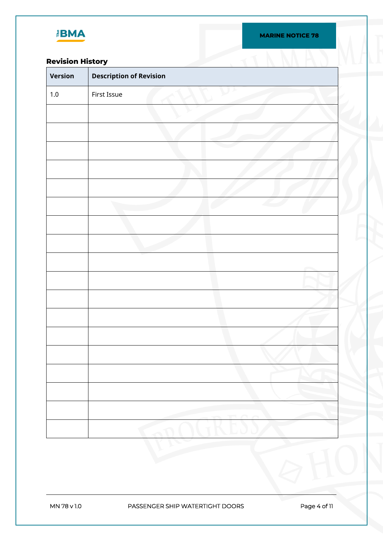

## **Revision History**

| <b>Revision History</b> |                                |
|-------------------------|--------------------------------|
| Version                 | <b>Description of Revision</b> |
| $1.0\,$                 | First Issue                    |
|                         |                                |
|                         |                                |
|                         |                                |
|                         |                                |
|                         |                                |
|                         |                                |
|                         |                                |
|                         |                                |
|                         |                                |
|                         |                                |
|                         |                                |
|                         |                                |
|                         |                                |
|                         |                                |
|                         |                                |
|                         |                                |
|                         |                                |
|                         |                                |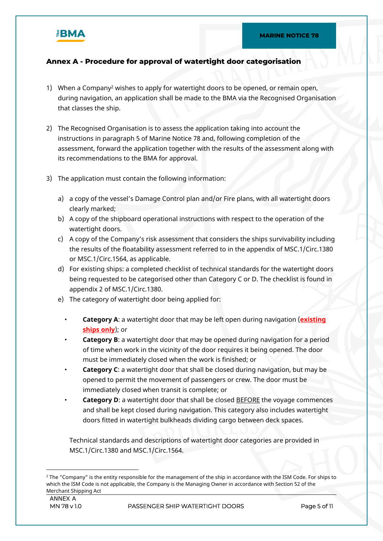## **Annex A - Procedure for approval of watertight door categorisation**

- 1) When a Company<sup>2</sup> wishes to apply for watertight doors to be opened, or remain open, during navigation, an application shall be made to the BMA via the Recognised Organisation that classes the ship.
- 2) The Recognised Organisation is to assess the application taking into account the instructions in paragraph 5 of Marine Notice 78 and, following completion of the assessment, forward the application together with the results of the assessment along with its recommendations to the BMA for approval.
- 3) The application must contain the following information:
	- a) a copy of the vessel's Damage Control plan and/or Fire plans, with all watertight doors clearly marked;
	- b) A copy of the shipboard operational instructions with respect to the operation of the watertight doors.
	- c) A copy of the Company's risk assessment that considers the ships survivability including the results of the floatability assessment referred to in the appendix of MSC.1/Circ.1380 or MSC.1/Circ.1564, as applicable.
	- d) For existing ships: a completed checklist of technical standards for the watertight doors being requested to be categorised other than Category C or D. The checklist is found in appendix 2 of MSC.1/Circ.1380.
	- e) The category of watertight door being applied for:
		- **Category A**: a watertight door that may be left open during navigation (**existing ships only**); or
		- **Category B**: a watertight door that may be opened during navigation for a period of time when work in the vicinity of the door requires it being opened. The door must be immediately closed when the work is finished; or
		- **Category C**: a watertight door that shall be closed during navigation, but may be opened to permit the movement of passengers or crew. The door must be immediately closed when transit is complete; or
		- **Category D**: a watertight door that shall be closed BEFORE the voyage commences and shall be kept closed during navigation. This category also includes watertight doors fitted in watertight bulkheads dividing cargo between deck spaces.

Technical standards and descriptions of watertight door categories are provided in MSC.1/Circ.1380 and MSC.1/Circ.1564.

<sup>2</sup> The "Company" is the entity responsible for the management of the ship in accordance with the ISM Code. For ships to which the ISM Code is not applicable, the Company is the Managing Owner in accordance with Section 52 of the Merchant Shipping Act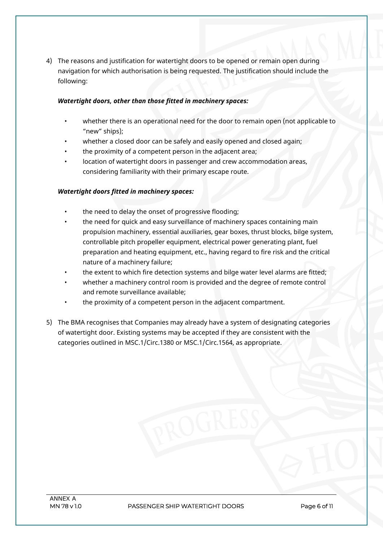4) The reasons and justification for watertight doors to be opened or remain open during navigation for which authorisation is being requested. The justification should include the following:

## *Watertight doors, other than those fitted in machinery spaces:*

- whether there is an operational need for the door to remain open (not applicable to "new" ships);
- whether a closed door can be safely and easily opened and closed again;
- the proximity of a competent person in the adjacent area;
- location of watertight doors in passenger and crew accommodation areas, considering familiarity with their primary escape route.

## *Watertight doors fitted in machinery spaces:*

- the need to delay the onset of progressive flooding;
- the need for quick and easy surveillance of machinery spaces containing main propulsion machinery, essential auxiliaries, gear boxes, thrust blocks, bilge system, controllable pitch propeller equipment, electrical power generating plant, fuel preparation and heating equipment, etc., having regard to fire risk and the critical nature of a machinery failure;
- the extent to which fire detection systems and bilge water level alarms are fitted;
- whether a machinery control room is provided and the degree of remote control and remote surveillance available;
- the proximity of a competent person in the adjacent compartment.
- 5) The BMA recognises that Companies may already have a system of designating categories of watertight door. Existing systems may be accepted if they are consistent with the categories outlined in MSC.1/Circ.1380 or MSC.1/Circ.1564, as appropriate.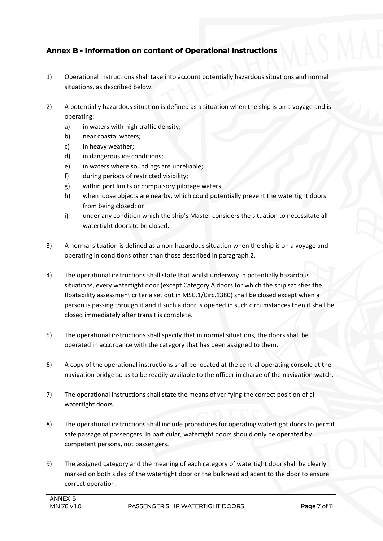## **Annex B - Information on content of Operational Instructions**

- 1) Operational instructions shall take into account potentially hazardous situations and normal situations, as described below.
- 2) A potentially hazardous situation is defined as a situation when the ship is on a voyage and is operating:
	- a) in waters with high traffic density;
	- b) near coastal waters;
	- c) in heavy weather;
	- d) in dangerous ice conditions;
	- e) in waters where soundings are unreliable;
	- f) during periods of restricted visibility;
	- g) within port limits or compulsory pilotage waters;
	- h) when loose objects are nearby, which could potentially prevent the watertight doors from being closed; or
	- i) under any condition which the ship's Master considers the situation to necessitate all watertight doors to be closed.
- 3) A normal situation is defined as a non-hazardous situation when the ship is on a voyage and operating in conditions other than those described in paragraph 2.
- 4) The operational instructions shall state that whilst underway in potentially hazardous situations, every watertight door (except Category A doors for which the ship satisfies the floatability assessment criteria set out in MSC.1/Circ.1380) shall be closed except when a person is passing through it and if such a door is opened in such circumstances then it shall be closed immediately after transit is complete.
- 5) The operational instructions shall specify that in normal situations, the doors shall be operated in accordance with the category that has been assigned to them.
- 6) A copy of the operational instructions shall be located at the central operating console at the navigation bridge so as to be readily available to the officer in charge of the navigation watch.
- 7) The operational instructions shall state the means of verifying the correct position of all watertight doors.
- 8) The operational instructions shall include procedures for operating watertight doors to permit safe passage of passengers. In particular, watertight doors should only be operated by competent persons, not passengers.
- 9) The assigned category and the meaning of each category of watertight door shall be clearly marked on both sides of the watertight door or the bulkhead adjacent to the door to ensure correct operation.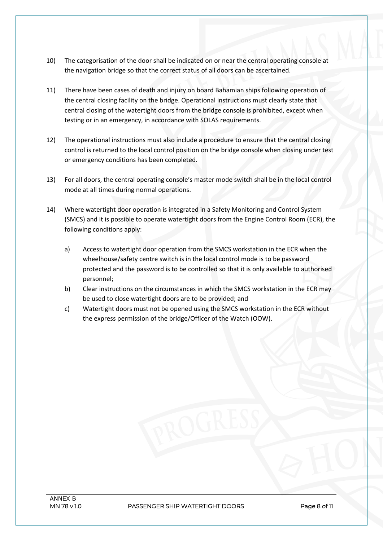- 10) The categorisation of the door shall be indicated on or near the central operating console at the navigation bridge so that the correct status of all doors can be ascertained.
- 11) There have been cases of death and injury on board Bahamian ships following operation of the central closing facility on the bridge. Operational instructions must clearly state that central closing of the watertight doors from the bridge console is prohibited, except when testing or in an emergency, in accordance with SOLAS requirements.
- 12) The operational instructions must also include a procedure to ensure that the central closing control is returned to the local control position on the bridge console when closing under test or emergency conditions has been completed.
- 13) For all doors, the central operating console's master mode switch shall be in the local control mode at all times during normal operations.
- 14) Where watertight door operation is integrated in a Safety Monitoring and Control System (SMCS) and it is possible to operate watertight doors from the Engine Control Room (ECR), the following conditions apply:
	- a) Access to watertight door operation from the SMCS workstation in the ECR when the wheelhouse/safety centre switch is in the local control mode is to be password protected and the password is to be controlled so that it is only available to authorised personnel;
	- b) Clear instructions on the circumstances in which the SMCS workstation in the ECR may be used to close watertight doors are to be provided; and
	- c) Watertight doors must not be opened using the SMCS workstation in the ECR without the express permission of the bridge/Officer of the Watch (OOW).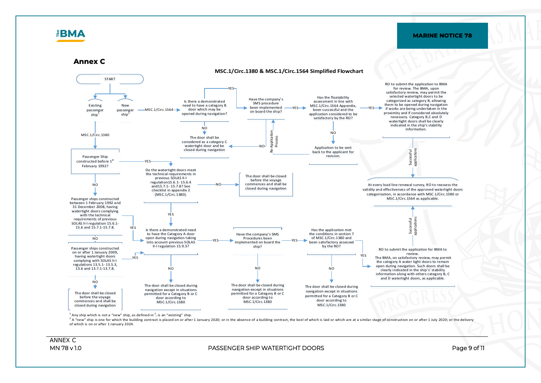# $\mathbb{E}$ **BMA**

#### **MARINE NOTICE 78**

**Annex C**



<sup>1</sup> Any ship which is not a "new" ship, as defined in  $^2$ , is an "existing" ship.

<sup>2</sup> A "new" ship is one for which the building contract is placed on or after 1 January 2020; or in the absence of a building contract, the keel of which is laid or which are at a similar stage of construction on or after of which is on or after 1 January 2024.

ANNEX C

#### **MN 78 v 1.0 PASSENGER SHIP WATERTIGHT DOORS Page 9 of 11**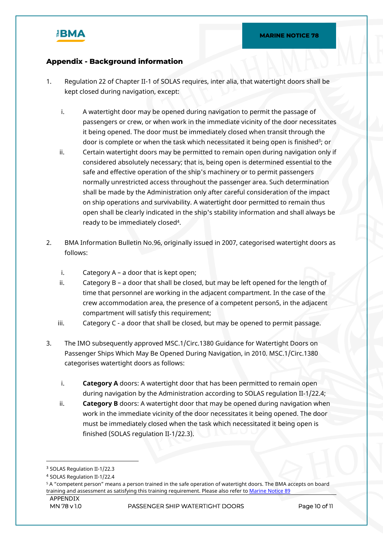

## **Appendix - Background information**

- 1. Regulation 22 of Chapter II-1 of SOLAS requires, inter alia, that watertight doors shall be kept closed during navigation, except:
	- i. A watertight door may be opened during navigation to permit the passage of passengers or crew, or when work in the immediate vicinity of the door necessitates it being opened. The door must be immediately closed when transit through the door is complete or when the task which necessitated it being open is finished<sup>3</sup>; or
	- ii. Certain watertight doors may be permitted to remain open during navigation only if considered absolutely necessary; that is, being open is determined essential to the safe and effective operation of the ship's machinery or to permit passengers normally unrestricted access throughout the passenger area. Such determination shall be made by the Administration only after careful consideration of the impact on ship operations and survivability. A watertight door permitted to remain thus open shall be clearly indicated in the ship's stability information and shall always be ready to be immediately closed<sup>4</sup> .
- 2. BMA Information Bulletin No.96, originally issued in 2007, categorised watertight doors as follows:
	- i. Category  $A a$  door that is kept open;
	- ii. Category  $B a$  door that shall be closed, but may be left opened for the length of time that personnel are working in the adjacent compartment. In the case of the crew accommodation area, the presence of a competent person5, in the adjacent compartment will satisfy this requirement;
	- iii. Category C a door that shall be closed, but may be opened to permit passage.
- 3. The IMO subsequently approved MSC.1/Circ.1380 Guidance for Watertight Doors on Passenger Ships Which May Be Opened During Navigation, in 2010. MSC.1/Circ.1380 categorises watertight doors as follows:
	- i. **Category A** doors: A watertight door that has been permitted to remain open during navigation by the Administration according to SOLAS regulation II-1/22.4;
	- ii. **Category B** doors: A watertight door that may be opened during navigation when work in the immediate vicinity of the door necessitates it being opened. The door must be immediately closed when the task which necessitated it being open is finished (SOLAS regulation II-1/22.3).

<sup>3</sup> SOLAS Regulation II-1/22.3

<sup>4</sup> SOLAS Regulation II-1/22.4

<sup>5</sup> A "competent person" means a person trained in the safe operation of watertight doors. The BMA accepts on board training and assessment as satisfying this training requirement. Please also refer to [Marine Notice 89](https://www.bahamasmaritime.com/wp-content/uploads/2021/03/MN089-Competent-Persons-v1.0-ID-116229.pdf)